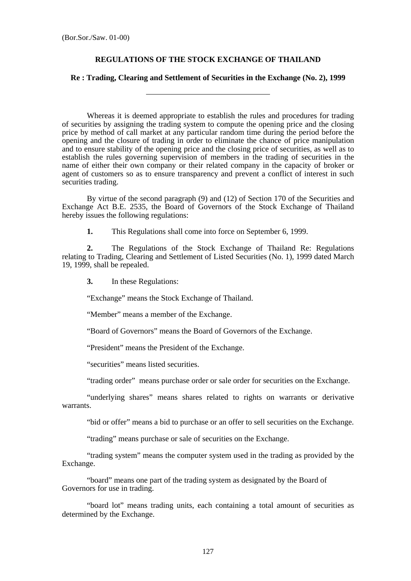## **REGULATIONS OF THE STOCK EXCHANGE OF THAILAND**

#### **Re : Trading, Clearing and Settlement of Securities in the Exchange (No. 2), 1999**

 Whereas it is deemed appropriate to establish the rules and procedures for trading of securities by assigning the trading system to compute the opening price and the closing price by method of call market at any particular random time during the period before the opening and the closure of trading in order to eliminate the chance of price manipulation and to ensure stability of the opening price and the closing price of securities, as well as to establish the rules governing supervision of members in the trading of securities in the name of either their own company or their related company in the capacity of broker or agent of customers so as to ensure transparency and prevent a conflict of interest in such securities trading.

 By virtue of the second paragraph (9) and (12) of Section 170 of the Securities and Exchange Act B.E. 2535, the Board of Governors of the Stock Exchange of Thailand hereby issues the following regulations:

 **1.** This Regulations shall come into force on September 6, 1999.

 **2.** The Regulations of the Stock Exchange of Thailand Re: Regulations relating to Trading, Clearing and Settlement of Listed Securities (No. 1), 1999 dated March 19, 1999, shall be repealed.

 **3.** In these Regulations:

 $\overline{a}$ 

"Exchange" means the Stock Exchange of Thailand.

"Member" means a member of the Exchange.

"Board of Governors" means the Board of Governors of the Exchange.

"President" means the President of the Exchange.

"securities" means listed securities.

"trading order" means purchase order or sale order for securities on the Exchange.

 "underlying shares" means shares related to rights on warrants or derivative warrants.

"bid or offer" means a bid to purchase or an offer to sell securities on the Exchange.

"trading" means purchase or sale of securities on the Exchange.

 "trading system" means the computer system used in the trading as provided by the Exchange.

 "board" means one part of the trading system as designated by the Board of Governors for use in trading.

"board lot" means trading units, each containing a total amount of securities as determined by the Exchange.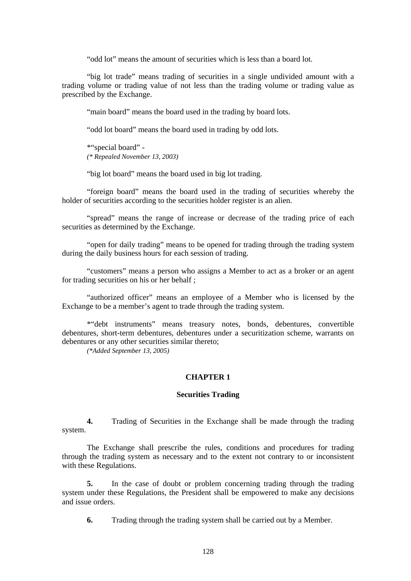"odd lot" means the amount of securities which is less than a board lot.

 "big lot trade" means trading of securities in a single undivided amount with a trading volume or trading value of not less than the trading volume or trading value as prescribed by the Exchange.

"main board" means the board used in the trading by board lots.

"odd lot board" means the board used in trading by odd lots.

 \*"special board" - *(\* Repealed November 13, 2003)* 

"big lot board" means the board used in big lot trading.

 "foreign board" means the board used in the trading of securities whereby the holder of securities according to the securities holder register is an alien.

 "spread" means the range of increase or decrease of the trading price of each securities as determined by the Exchange.

 "open for daily trading" means to be opened for trading through the trading system during the daily business hours for each session of trading.

 "customers" means a person who assigns a Member to act as a broker or an agent for trading securities on his or her behalf ;

 "authorized officer" means an employee of a Member who is licensed by the Exchange to be a member's agent to trade through the trading system.

 \*"debt instruments" means treasury notes, bonds, debentures, convertible debentures, short-term debentures, debentures under a securitization scheme, warrants on debentures or any other securities similar thereto;

 *(\*Added September 13, 2005)* 

# **CHAPTER 1**

#### **Securities Trading**

 **4.** Trading of Securities in the Exchange shall be made through the trading system.

 The Exchange shall prescribe the rules, conditions and procedures for trading through the trading system as necessary and to the extent not contrary to or inconsistent with these Regulations.

 **5.** In the case of doubt or problem concerning trading through the trading system under these Regulations, the President shall be empowered to make any decisions and issue orders.

**6.** Trading through the trading system shall be carried out by a Member.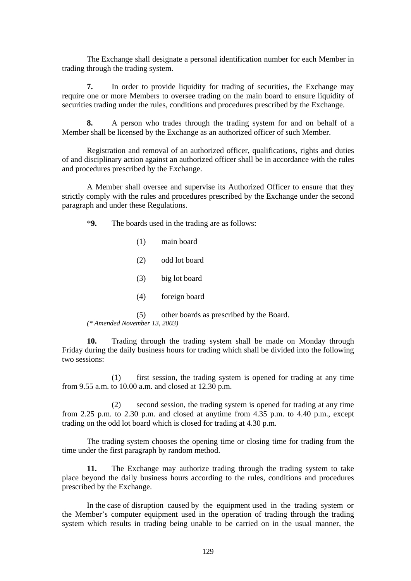The Exchange shall designate a personal identification number for each Member in trading through the trading system.

 **7.** In order to provide liquidity for trading of securities, the Exchange may require one or more Members to oversee trading on the main board to ensure liquidity of securities trading under the rules, conditions and procedures prescribed by the Exchange.

 **8.** A person who trades through the trading system for and on behalf of a Member shall be licensed by the Exchange as an authorized officer of such Member.

 Registration and removal of an authorized officer, qualifications, rights and duties of and disciplinary action against an authorized officer shall be in accordance with the rules and procedures prescribed by the Exchange.

 A Member shall oversee and supervise its Authorized Officer to ensure that they strictly comply with the rules and procedures prescribed by the Exchange under the second paragraph and under these Regulations.

\***9.** The boards used in the trading are as follows:

 (1) main board (2) odd lot board (3) big lot board (4) foreign board (5) other boards as prescribed by the Board.  *(\* Amended November 13, 2003)* 

 **10.** Trading through the trading system shall be made on Monday through Friday during the daily business hours for trading which shall be divided into the following two sessions:

 (1) first session, the trading system is opened for trading at any time from 9.55 a.m. to 10.00 a.m. and closed at 12.30 p.m.

 (2) second session, the trading system is opened for trading at any time from 2.25 p.m. to 2.30 p.m. and closed at anytime from  $4.35$  p.m. to  $4.40$  p.m., except trading on the odd lot board which is closed for trading at 4.30 p.m.

 The trading system chooses the opening time or closing time for trading from the time under the first paragraph by random method.

**11.** The Exchange may authorize trading through the trading system to take place beyond the daily business hours according to the rules, conditions and procedures prescribed by the Exchange.

In the case of disruption caused by the equipment used in the trading system or the Member's computer equipment used in the operation of trading through the trading system which results in trading being unable to be carried on in the usual manner, the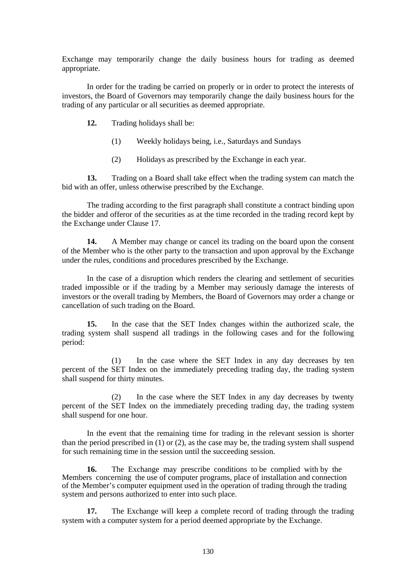Exchange may temporarily change the daily business hours for trading as deemed appropriate.

 In order for the trading be carried on properly or in order to protect the interests of investors, the Board of Governors may temporarily change the daily business hours for the trading of any particular or all securities as deemed appropriate.

- **12.** Trading holidays shall be:
	- (1) Weekly holidays being, i.e., Saturdays and Sundays
	- (2) Holidays as prescribed by the Exchange in each year.

 **13.** Trading on a Board shall take effect when the trading system can match the bid with an offer, unless otherwise prescribed by the Exchange.

 The trading according to the first paragraph shall constitute a contract binding upon the bidder and offeror of the securities as at the time recorded in the trading record kept by the Exchange under Clause 17.

 **14.** A Member may change or cancel its trading on the board upon the consent of the Member who is the other party to the transaction and upon approval by the Exchange under the rules, conditions and procedures prescribed by the Exchange.

 In the case of a disruption which renders the clearing and settlement of securities traded impossible or if the trading by a Member may seriously damage the interests of investors or the overall trading by Members, the Board of Governors may order a change or cancellation of such trading on the Board.

 **15.** In the case that the SET Index changes within the authorized scale, the trading system shall suspend all tradings in the following cases and for the following period:

 (1) In the case where the SET Index in any day decreases by ten percent of the SET Index on the immediately preceding trading day, the trading system shall suspend for thirty minutes.

 (2) In the case where the SET Index in any day decreases by twenty percent of the SET Index on the immediately preceding trading day, the trading system shall suspend for one hour.

 In the event that the remaining time for trading in the relevant session is shorter than the period prescribed in (1) or (2), as the case may be, the trading system shall suspend for such remaining time in the session until the succeeding session.

 **16.** The Exchange may prescribe conditions to be complied with by the Members concerning the use of computer programs, place of installation and connection of the Member's computer equipment used in the operation of trading through the trading system and persons authorized to enter into such place.

 **17.** The Exchange will keep a complete record of trading through the trading system with a computer system for a period deemed appropriate by the Exchange.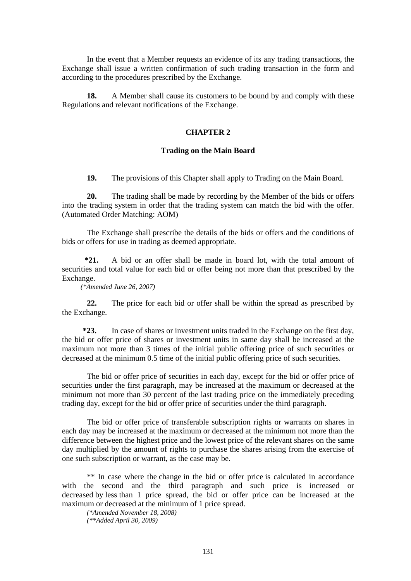In the event that a Member requests an evidence of its any trading transactions, the Exchange shall issue a written confirmation of such trading transaction in the form and according to the procedures prescribed by the Exchange.

**18.** A Member shall cause its customers to be bound by and comply with these Regulations and relevant notifications of the Exchange.

# **CHAPTER 2**

### **Trading on the Main Board**

 **19.** The provisions of this Chapter shall apply to Trading on the Main Board.

 **20.** The trading shall be made by recording by the Member of the bids or offers into the trading system in order that the trading system can match the bid with the offer. (Automated Order Matching: AOM)

 The Exchange shall prescribe the details of the bids or offers and the conditions of bids or offers for use in trading as deemed appropriate.

 **\*21.** A bid or an offer shall be made in board lot, with the total amount of securities and total value for each bid or offer being not more than that prescribed by the Exchange.

*(\*Amended June 26, 2007)* 

 **22.** The price for each bid or offer shall be within the spread as prescribed by the Exchange.

 **\*23.** In case of shares or investment units traded in the Exchange on the first day, the bid or offer price of shares or investment units in same day shall be increased at the maximum not more than 3 times of the initial public offering price of such securities or decreased at the minimum 0.5 time of the initial public offering price of such securities.

 The bid or offer price of securities in each day, except for the bid or offer price of securities under the first paragraph, may be increased at the maximum or decreased at the minimum not more than 30 percent of the last trading price on the immediately preceding trading day, except for the bid or offer price of securities under the third paragraph.

 The bid or offer price of transferable subscription rights or warrants on shares in each day may be increased at the maximum or decreased at the minimum not more than the difference between the highest price and the lowest price of the relevant shares on the same day multiplied by the amount of rights to purchase the shares arising from the exercise of one such subscription or warrant, as the case may be.

 \*\* In case where the change in the bid or offer price is calculated in accordance with the second and the third paragraph and such price is increased or decreased by less than 1 price spread, the bid or offer price can be increased at the maximum or decreased at the minimum of 1 price spread.

*(\*Amended November 18, 2008)* 

 *(\*\*Added April 30, 2009)*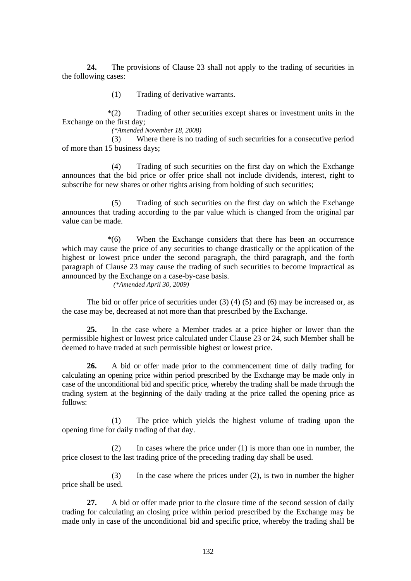**24.** The provisions of Clause 23 shall not apply to the trading of securities in the following cases:

(1) Trading of derivative warrants.

 \*(2) Trading of other securities except shares or investment units in the Exchange on the first day;

*(\*Amended November 18, 2008)*

(3) Where there is no trading of such securities for a consecutive period of more than 15 business days;

 (4) Trading of such securities on the first day on which the Exchange announces that the bid price or offer price shall not include dividends, interest, right to subscribe for new shares or other rights arising from holding of such securities;

 (5) Trading of such securities on the first day on which the Exchange announces that trading according to the par value which is changed from the original par value can be made.

 \*(6) When the Exchange considers that there has been an occurrence which may cause the price of any securities to change drastically or the application of the highest or lowest price under the second paragraph, the third paragraph, and the forth paragraph of Clause 23 may cause the trading of such securities to become impractical as announced by the Exchange on a case-by-case basis.

 *(\*Amended April 30, 2009)* 

The bid or offer price of securities under  $(3)$   $(4)$   $(5)$  and  $(6)$  may be increased or, as the case may be, decreased at not more than that prescribed by the Exchange.

 **25.** In the case where a Member trades at a price higher or lower than the permissible highest or lowest price calculated under Clause 23 or 24, such Member shall be deemed to have traded at such permissible highest or lowest price.

 **26.** A bid or offer made prior to the commencement time of daily trading for calculating an opening price within period prescribed by the Exchange may be made only in case of the unconditional bid and specific price, whereby the trading shall be made through the trading system at the beginning of the daily trading at the price called the opening price as follows:

 (1) The price which yields the highest volume of trading upon the opening time for daily trading of that day.

 (2) In cases where the price under (1) is more than one in number, the price closest to the last trading price of the preceding trading day shall be used.

 (3) In the case where the prices under (2), is two in number the higher price shall be used.

**27.** A bid or offer made prior to the closure time of the second session of daily trading for calculating an closing price within period prescribed by the Exchange may be made only in case of the unconditional bid and specific price, whereby the trading shall be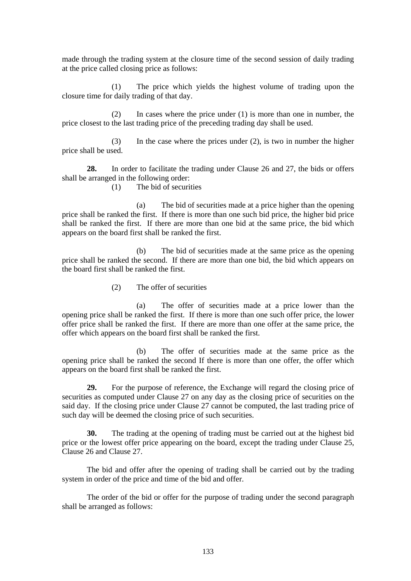made through the trading system at the closure time of the second session of daily trading at the price called closing price as follows:

 (1) The price which yields the highest volume of trading upon the closure time for daily trading of that day.

 (2) In cases where the price under (1) is more than one in number, the price closest to the last trading price of the preceding trading day shall be used.

(3) In the case where the prices under (2), is two in number the higher price shall be used.

**28.** In order to facilitate the trading under Clause 26 and 27, the bids or offers shall be arranged in the following order:

(1) The bid of securities

 (a) The bid of securities made at a price higher than the opening price shall be ranked the first. If there is more than one such bid price, the higher bid price shall be ranked the first. If there are more than one bid at the same price, the bid which appears on the board first shall be ranked the first.

 (b) The bid of securities made at the same price as the opening price shall be ranked the second. If there are more than one bid, the bid which appears on the board first shall be ranked the first.

(2) The offer of securities

 (a) The offer of securities made at a price lower than the opening price shall be ranked the first. If there is more than one such offer price, the lower offer price shall be ranked the first. If there are more than one offer at the same price, the offer which appears on the board first shall be ranked the first.

 (b) The offer of securities made at the same price as the opening price shall be ranked the second If there is more than one offer, the offer which appears on the board first shall be ranked the first.

 **29.** For the purpose of reference, the Exchange will regard the closing price of securities as computed under Clause 27 on any day as the closing price of securities on the said day. If the closing price under Clause 27 cannot be computed, the last trading price of such day will be deemed the closing price of such securities.

**30.** The trading at the opening of trading must be carried out at the highest bid price or the lowest offer price appearing on the board, except the trading under Clause 25, Clause 26 and Clause 27.

 The bid and offer after the opening of trading shall be carried out by the trading system in order of the price and time of the bid and offer.

 The order of the bid or offer for the purpose of trading under the second paragraph shall be arranged as follows: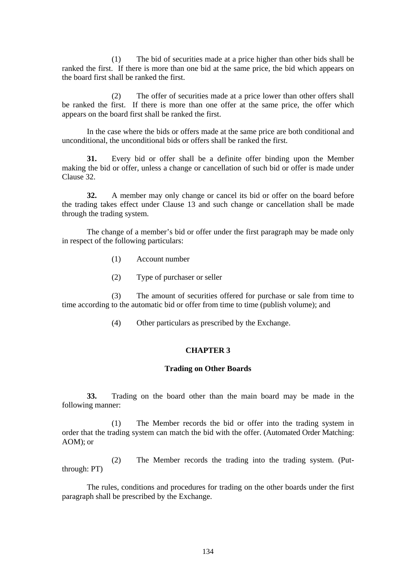(1) The bid of securities made at a price higher than other bids shall be ranked the first. If there is more than one bid at the same price, the bid which appears on the board first shall be ranked the first.

 (2) The offer of securities made at a price lower than other offers shall be ranked the first. If there is more than one offer at the same price, the offer which appears on the board first shall be ranked the first.

In the case where the bids or offers made at the same price are both conditional and unconditional, the unconditional bids or offers shall be ranked the first.

 **31.** Every bid or offer shall be a definite offer binding upon the Member making the bid or offer, unless a change or cancellation of such bid or offer is made under Clause 32.

 **32.** A member may only change or cancel its bid or offer on the board before the trading takes effect under Clause 13 and such change or cancellation shall be made through the trading system.

 The change of a member's bid or offer under the first paragraph may be made only in respect of the following particulars:

- (1) Account number
- (2) Type of purchaser or seller

 (3) The amount of securities offered for purchase or sale from time to time according to the automatic bid or offer from time to time (publish volume); and

(4) Other particulars as prescribed by the Exchange.

### **CHAPTER 3**

### **Trading on Other Boards**

 **33.** Trading on the board other than the main board may be made in the following manner:

 (1) The Member records the bid or offer into the trading system in order that the trading system can match the bid with the offer. (Automated Order Matching: AOM); or

 (2) The Member records the trading into the trading system. (Putthrough: PT)

 The rules, conditions and procedures for trading on the other boards under the first paragraph shall be prescribed by the Exchange.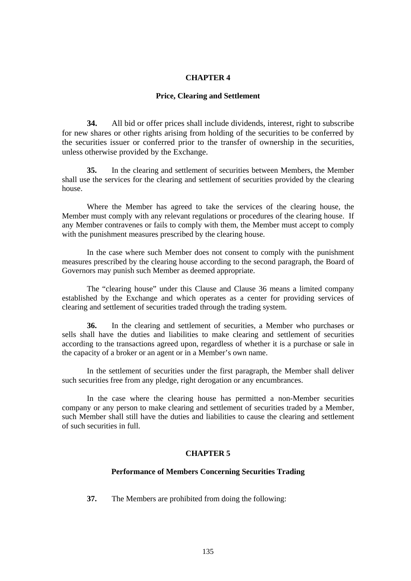#### **CHAPTER 4**

### **Price, Clearing and Settlement**

 **34.** All bid or offer prices shall include dividends, interest, right to subscribe for new shares or other rights arising from holding of the securities to be conferred by the securities issuer or conferred prior to the transfer of ownership in the securities, unless otherwise provided by the Exchange.

 **35.** In the clearing and settlement of securities between Members, the Member shall use the services for the clearing and settlement of securities provided by the clearing house.

 Where the Member has agreed to take the services of the clearing house, the Member must comply with any relevant regulations or procedures of the clearing house. If any Member contravenes or fails to comply with them, the Member must accept to comply with the punishment measures prescribed by the clearing house.

 In the case where such Member does not consent to comply with the punishment measures prescribed by the clearing house according to the second paragraph, the Board of Governors may punish such Member as deemed appropriate.

 The "clearing house" under this Clause and Clause 36 means a limited company established by the Exchange and which operates as a center for providing services of clearing and settlement of securities traded through the trading system.

 **36.** In the clearing and settlement of securities, a Member who purchases or sells shall have the duties and liabilities to make clearing and settlement of securities according to the transactions agreed upon, regardless of whether it is a purchase or sale in the capacity of a broker or an agent or in a Member's own name.

 In the settlement of securities under the first paragraph, the Member shall deliver such securities free from any pledge, right derogation or any encumbrances.

 In the case where the clearing house has permitted a non-Member securities company or any person to make clearing and settlement of securities traded by a Member, such Member shall still have the duties and liabilities to cause the clearing and settlement of such securities in full.

### **CHAPTER 5**

### **Performance of Members Concerning Securities Trading**

 **37.** The Members are prohibited from doing the following: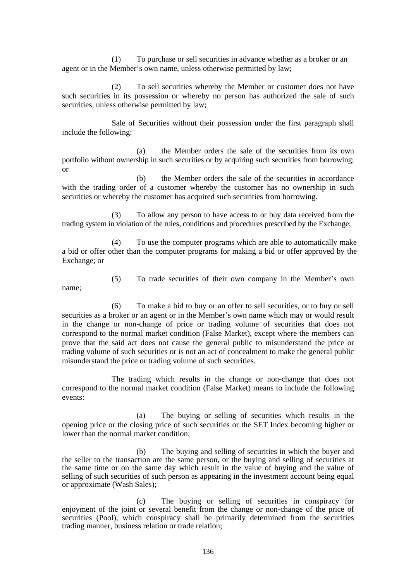(1) To purchase or sell securities in advance whether as a broker or an agent or in the Member's own name, unless otherwise permitted by law;

 (2) To sell securities whereby the Member or customer does not have such securities in its possession or whereby no person has authorized the sale of such securities, unless otherwise permitted by law;

 Sale of Securities without their possession under the first paragraph shall include the following:

(a) the Member orders the sale of the securities from its own portfolio without ownership in such securities or by acquiring such securities from borrowing; or

 (b) the Member orders the sale of the securities in accordance with the trading order of a customer whereby the customer has no ownership in such securities or whereby the customer has acquired such securities from borrowing.

 (3) To allow any person to have access to or buy data received from the trading system in violation of the rules, conditions and procedures prescribed by the Exchange;

 (4) To use the computer programs which are able to automatically make a bid or offer other than the computer programs for making a bid or offer approved by the Exchange; or

name;

(5) To trade securities of their own company in the Member's own

 (6) To make a bid to buy or an offer to sell securities, or to buy or sell securities as a broker or an agent or in the Member's own name which may or would result in the change or non-change of price or trading volume of securities that does not correspond to the normal market condition (False Market), except where the members can prove that the said act does not cause the general public to misunderstand the price or trading volume of such securities or is not an act of concealment to make the general public misunderstand the price or trading volume of such securities.

 The trading which results in the change or non-change that does not correspond to the normal market condition (False Market) means to include the following events:

 (a) The buying or selling of securities which results in the opening price or the closing price of such securities or the SET Index becoming higher or lower than the normal market condition;

 (b) The buying and selling of securities in which the buyer and the seller to the transaction are the same person, or the buying and selling of securities at the same time or on the same day which result in the value of buying and the value of selling of such securities of such person as appearing in the investment account being equal or approximate (Wash Sales);

 (c) The buying or selling of securities in conspiracy for enjoyment of the joint or several benefit from the change or non-change of the price of securities (Pool), which conspiracy shall be primarily determined from the securities trading manner, business relation or trade relation;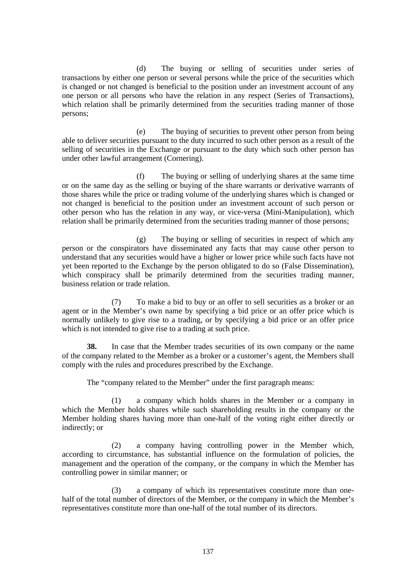(d) The buying or selling of securities under series of transactions by either one person or several persons while the price of the securities which is changed or not changed is beneficial to the position under an investment account of any one person or all persons who have the relation in any respect (Series of Transactions), which relation shall be primarily determined from the securities trading manner of those persons;

 (e) The buying of securities to prevent other person from being able to deliver securities pursuant to the duty incurred to such other person as a result of the selling of securities in the Exchange or pursuant to the duty which such other person has under other lawful arrangement (Cornering).

 (f) The buying or selling of underlying shares at the same time or on the same day as the selling or buying of the share warrants or derivative warrants of those shares while the price or trading volume of the underlying shares which is changed or not changed is beneficial to the position under an investment account of such person or other person who has the relation in any way, or vice-versa (Mini-Manipulation), which relation shall be primarily determined from the securities trading manner of those persons;

 (g) The buying or selling of securities in respect of which any person or the conspirators have disseminated any facts that may cause other person to understand that any securities would have a higher or lower price while such facts have not yet been reported to the Exchange by the person obligated to do so (False Dissemination), which conspiracy shall be primarily determined from the securities trading manner, business relation or trade relation.

 (7) To make a bid to buy or an offer to sell securities as a broker or an agent or in the Member's own name by specifying a bid price or an offer price which is normally unlikely to give rise to a trading, or by specifying a bid price or an offer price which is not intended to give rise to a trading at such price.

 **38.** In case that the Member trades securities of its own company or the name of the company related to the Member as a broker or a customer's agent, the Members shall comply with the rules and procedures prescribed by the Exchange.

The "company related to the Member" under the first paragraph means:

 (1) a company which holds shares in the Member or a company in which the Member holds shares while such shareholding results in the company or the Member holding shares having more than one-half of the voting right either directly or indirectly; or

 (2) a company having controlling power in the Member which, according to circumstance, has substantial influence on the formulation of policies, the management and the operation of the company, or the company in which the Member has controlling power in similar manner; or

 (3) a company of which its representatives constitute more than onehalf of the total number of directors of the Member, or the company in which the Member's representatives constitute more than one-half of the total number of its directors.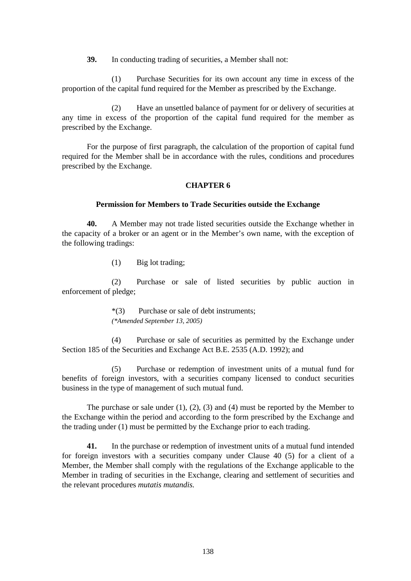**39.** In conducting trading of securities, a Member shall not:

 (1) Purchase Securities for its own account any time in excess of the proportion of the capital fund required for the Member as prescribed by the Exchange.

 (2) Have an unsettled balance of payment for or delivery of securities at any time in excess of the proportion of the capital fund required for the member as prescribed by the Exchange.

 For the purpose of first paragraph, the calculation of the proportion of capital fund required for the Member shall be in accordance with the rules, conditions and procedures prescribed by the Exchange.

# **CHAPTER 6**

#### **Permission for Members to Trade Securities outside the Exchange**

 **40.** A Member may not trade listed securities outside the Exchange whether in the capacity of a broker or an agent or in the Member's own name, with the exception of the following tradings:

(1) Big lot trading;

 (2) Purchase or sale of listed securities by public auction in enforcement of pledge;

> \*(3) Purchase or sale of debt instruments;  *(\*Amended September 13, 2005)*

 (4) Purchase or sale of securities as permitted by the Exchange under Section 185 of the Securities and Exchange Act B.E. 2535 (A.D. 1992); and

 (5) Purchase or redemption of investment units of a mutual fund for benefits of foreign investors, with a securities company licensed to conduct securities business in the type of management of such mutual fund.

 The purchase or sale under (1), (2), (3) and (4) must be reported by the Member to the Exchange within the period and according to the form prescribed by the Exchange and the trading under (1) must be permitted by the Exchange prior to each trading.

 **41.** In the purchase or redemption of investment units of a mutual fund intended for foreign investors with a securities company under Clause 40 (5) for a client of a Member, the Member shall comply with the regulations of the Exchange applicable to the Member in trading of securities in the Exchange, clearing and settlement of securities and the relevant procedures *mutatis mutandis.*